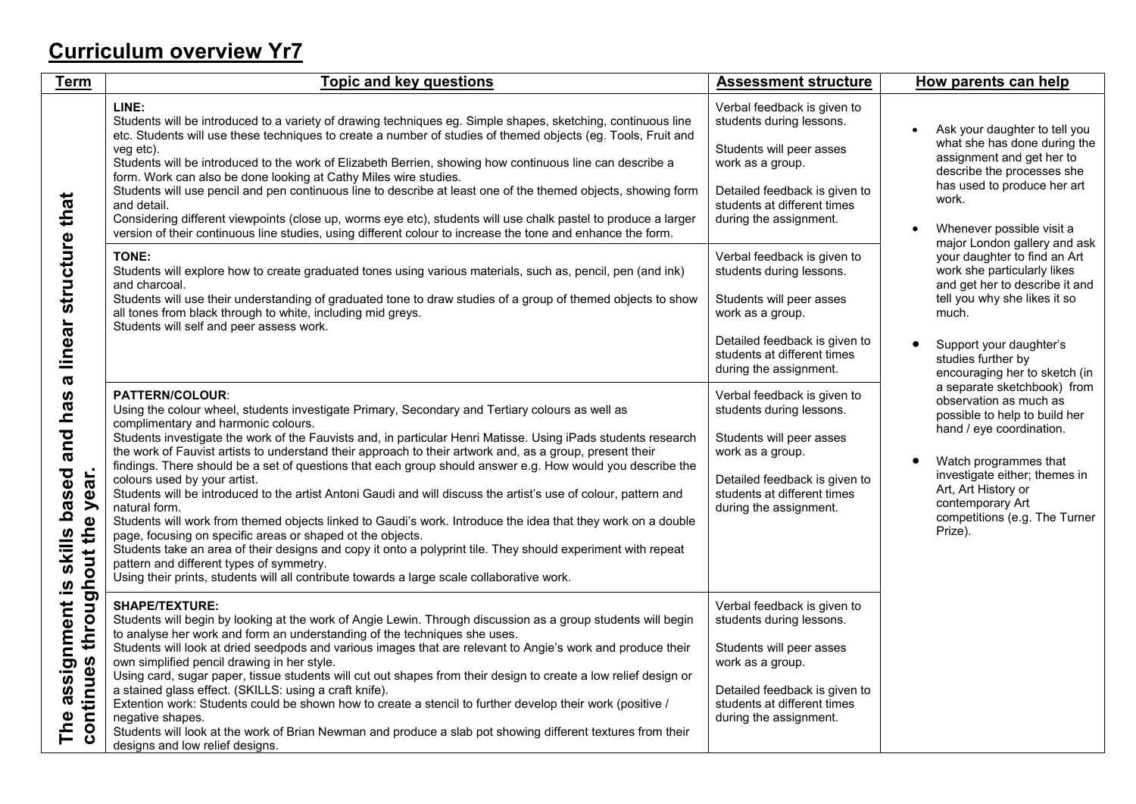## **Curriculum overview Yr7**

| <b>Term</b>                                                                                                                                                                               | <b>Topic and key questions</b>                                                                                                                                                                                                                                                                                                                                                                                                                                                                                                                                                                                                                                                                                                                                                                                                                                                                                                                                                                                                                                                                                          | <b>Assessment structure</b>                                                                                                                                                                       | How parents can help                                                                                                                                                                                                                                                |  |
|-------------------------------------------------------------------------------------------------------------------------------------------------------------------------------------------|-------------------------------------------------------------------------------------------------------------------------------------------------------------------------------------------------------------------------------------------------------------------------------------------------------------------------------------------------------------------------------------------------------------------------------------------------------------------------------------------------------------------------------------------------------------------------------------------------------------------------------------------------------------------------------------------------------------------------------------------------------------------------------------------------------------------------------------------------------------------------------------------------------------------------------------------------------------------------------------------------------------------------------------------------------------------------------------------------------------------------|---------------------------------------------------------------------------------------------------------------------------------------------------------------------------------------------------|---------------------------------------------------------------------------------------------------------------------------------------------------------------------------------------------------------------------------------------------------------------------|--|
| linear structure that<br>$\boldsymbol{\varpi}$<br>and has<br>based<br>ār.<br>$\tilde{\mathbf{y}}$<br>$\mathbf{\Phi}$<br>out the<br>skills<br>through<br>assignment is<br>continues<br>The | LINE:<br>Students will be introduced to a variety of drawing techniques eg. Simple shapes, sketching, continuous line<br>etc. Students will use these techniques to create a number of studies of themed objects (eg. Tools, Fruit and<br>veg etc).<br>Students will be introduced to the work of Elizabeth Berrien, showing how continuous line can describe a<br>form. Work can also be done looking at Cathy Miles wire studies.<br>Students will use pencil and pen continuous line to describe at least one of the themed objects, showing form<br>and detail.<br>Considering different viewpoints (close up, worms eye etc), students will use chalk pastel to produce a larger<br>version of their continuous line studies, using different colour to increase the tone and enhance the form.                                                                                                                                                                                                                                                                                                                    | Verbal feedback is given to<br>students during lessons.<br>Students will peer asses<br>work as a group.<br>Detailed feedback is given to<br>students at different times<br>during the assignment. | Ask your daughter to tell you<br>what she has done during the<br>assignment and get her to<br>describe the processes she<br>has used to produce her art<br>work.<br>Whenever possible visit a<br>major London gallery and ask                                       |  |
|                                                                                                                                                                                           | TONE:<br>Students will explore how to create graduated tones using various materials, such as, pencil, pen (and ink)<br>and charcoal.<br>Students will use their understanding of graduated tone to draw studies of a group of themed objects to show<br>all tones from black through to white, including mid greys.<br>Students will self and peer assess work.                                                                                                                                                                                                                                                                                                                                                                                                                                                                                                                                                                                                                                                                                                                                                        | Verbal feedback is given to<br>students during lessons.<br>Students will peer asses<br>work as a group.<br>Detailed feedback is given to<br>students at different times<br>during the assignment. | your daughter to find an Art<br>work she particularly likes<br>and get her to describe it and<br>tell you why she likes it so<br>much.<br>Support your daughter's<br>studies further by<br>encouraging her to sketch (in                                            |  |
|                                                                                                                                                                                           | <b>PATTERN/COLOUR:</b><br>Using the colour wheel, students investigate Primary, Secondary and Tertiary colours as well as<br>complimentary and harmonic colours.<br>Students investigate the work of the Fauvists and, in particular Henri Matisse. Using iPads students research<br>the work of Fauvist artists to understand their approach to their artwork and, as a group, present their<br>findings. There should be a set of questions that each group should answer e.g. How would you describe the<br>colours used by your artist.<br>Students will be introduced to the artist Antoni Gaudi and will discuss the artist's use of colour, pattern and<br>natural form.<br>Students will work from themed objects linked to Gaudi's work. Introduce the idea that they work on a double<br>page, focusing on specific areas or shaped ot the objects.<br>Students take an area of their designs and copy it onto a polyprint tile. They should experiment with repeat<br>pattern and different types of symmetry.<br>Using their prints, students will all contribute towards a large scale collaborative work. | Verbal feedback is given to<br>students during lessons.<br>Students will peer asses<br>work as a group.<br>Detailed feedback is given to<br>students at different times<br>during the assignment. | a separate sketchbook) from<br>observation as much as<br>possible to help to build her<br>hand / eye coordination.<br>Watch programmes that<br>investigate either; themes in<br>Art, Art History or<br>contemporary Art<br>competitions (e.g. The Turner<br>Prize). |  |
|                                                                                                                                                                                           | <b>SHAPE/TEXTURE:</b><br>Students will begin by looking at the work of Angie Lewin. Through discussion as a group students will begin<br>to analyse her work and form an understanding of the techniques she uses.<br>Students will look at dried seedpods and various images that are relevant to Angie's work and produce their<br>own simplified pencil drawing in her style.<br>Using card, sugar paper, tissue students will cut out shapes from their design to create a low relief design or<br>a stained glass effect. (SKILLS: using a craft knife).<br>Extention work: Students could be shown how to create a stencil to further develop their work (positive /<br>negative shapes.<br>Students will look at the work of Brian Newman and produce a slab pot showing different textures from their<br>designs and low relief designs.                                                                                                                                                                                                                                                                        | Verbal feedback is given to<br>students during lessons.<br>Students will peer asses<br>work as a group.<br>Detailed feedback is given to<br>students at different times<br>during the assignment. |                                                                                                                                                                                                                                                                     |  |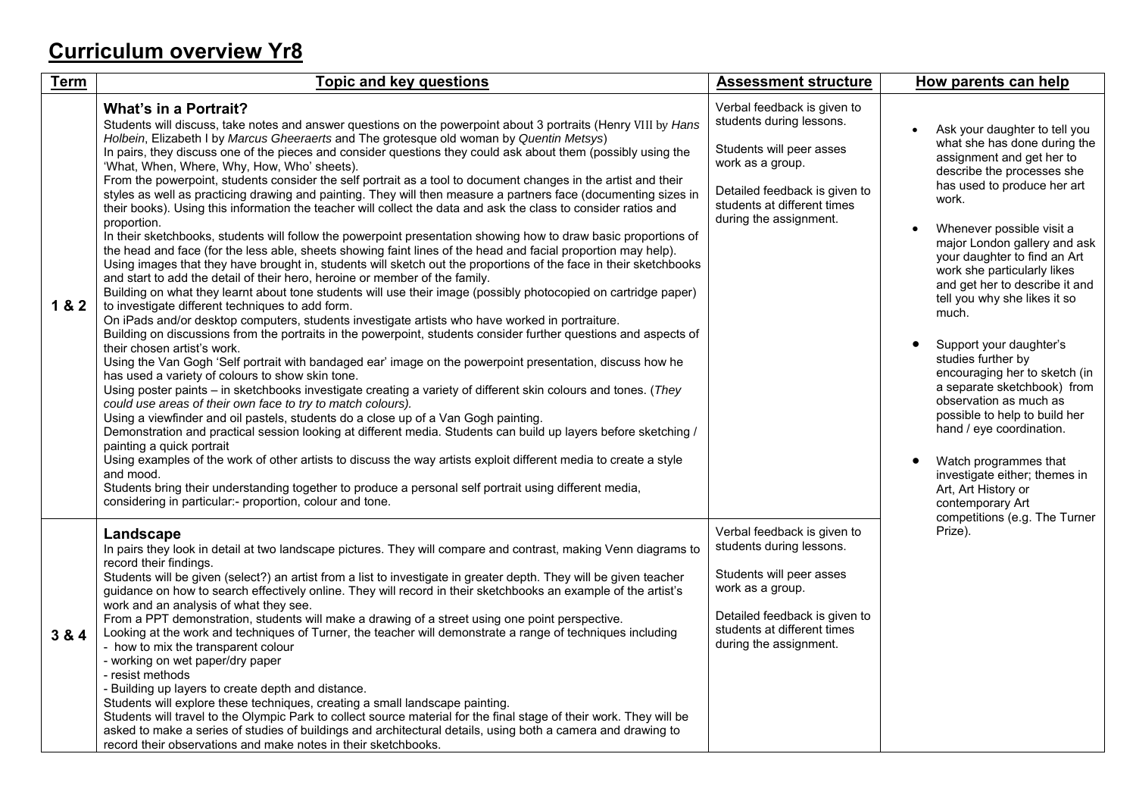## **Curriculum overview Yr8**

| <b>Term</b> | <b>Topic and key questions</b>                                                                                                                                                                                                                                                                                                                                                                                                                                                                                                                                                                                                                                                                                                                                                                                                                                                                                                                                                                                                                                                                                                                                                                                                                                                                                                                                                                                                                                                                                                                                                                                                                                                                                                                                                                                                                                                                                                                                                                                                                                                                                                                                                                                                                                                                                                                                                                                                                                                                                                                        | <b>Assessment structure</b>                                                                                                                                                                       | How parents can help                                                                                                                                                                                                                                                                                                                                                                                                                                                                                                                                                                                                                                                                                                               |
|-------------|-------------------------------------------------------------------------------------------------------------------------------------------------------------------------------------------------------------------------------------------------------------------------------------------------------------------------------------------------------------------------------------------------------------------------------------------------------------------------------------------------------------------------------------------------------------------------------------------------------------------------------------------------------------------------------------------------------------------------------------------------------------------------------------------------------------------------------------------------------------------------------------------------------------------------------------------------------------------------------------------------------------------------------------------------------------------------------------------------------------------------------------------------------------------------------------------------------------------------------------------------------------------------------------------------------------------------------------------------------------------------------------------------------------------------------------------------------------------------------------------------------------------------------------------------------------------------------------------------------------------------------------------------------------------------------------------------------------------------------------------------------------------------------------------------------------------------------------------------------------------------------------------------------------------------------------------------------------------------------------------------------------------------------------------------------------------------------------------------------------------------------------------------------------------------------------------------------------------------------------------------------------------------------------------------------------------------------------------------------------------------------------------------------------------------------------------------------------------------------------------------------------------------------------------------------|---------------------------------------------------------------------------------------------------------------------------------------------------------------------------------------------------|------------------------------------------------------------------------------------------------------------------------------------------------------------------------------------------------------------------------------------------------------------------------------------------------------------------------------------------------------------------------------------------------------------------------------------------------------------------------------------------------------------------------------------------------------------------------------------------------------------------------------------------------------------------------------------------------------------------------------------|
| 1&2         | <b>What's in a Portrait?</b><br>Students will discuss, take notes and answer questions on the powerpoint about 3 portraits (Henry VIII by Hans<br>Holbein, Elizabeth I by Marcus Gheeraerts and The grotesque old woman by Quentin Metsys)<br>In pairs, they discuss one of the pieces and consider questions they could ask about them (possibly using the<br>'What, When, Where, Why, How, Who' sheets).<br>From the powerpoint, students consider the self portrait as a tool to document changes in the artist and their<br>styles as well as practicing drawing and painting. They will then measure a partners face (documenting sizes in<br>their books). Using this information the teacher will collect the data and ask the class to consider ratios and<br>proportion.<br>In their sketchbooks, students will follow the powerpoint presentation showing how to draw basic proportions of<br>the head and face (for the less able, sheets showing faint lines of the head and facial proportion may help).<br>Using images that they have brought in, students will sketch out the proportions of the face in their sketchbooks<br>and start to add the detail of their hero, heroine or member of the family.<br>Building on what they learnt about tone students will use their image (possibly photocopied on cartridge paper)<br>to investigate different techniques to add form.<br>On iPads and/or desktop computers, students investigate artists who have worked in portraiture.<br>Building on discussions from the portraits in the powerpoint, students consider further questions and aspects of<br>their chosen artist's work.<br>Using the Van Gogh 'Self portrait with bandaged ear' image on the powerpoint presentation, discuss how he<br>has used a variety of colours to show skin tone.<br>Using poster paints - in sketchbooks investigate creating a variety of different skin colours and tones. (They<br>could use areas of their own face to try to match colours).<br>Using a viewfinder and oil pastels, students do a close up of a Van Gogh painting.<br>Demonstration and practical session looking at different media. Students can build up layers before sketching /<br>painting a quick portrait<br>Using examples of the work of other artists to discuss the way artists exploit different media to create a style<br>and mood.<br>Students bring their understanding together to produce a personal self portrait using different media,<br>considering in particular:- proportion, colour and tone. | Verbal feedback is given to<br>students during lessons.<br>Students will peer asses<br>work as a group.<br>Detailed feedback is given to<br>students at different times<br>during the assignment. | Ask your daughter to tell you<br>what she has done during the<br>assignment and get her to<br>describe the processes she<br>has used to produce her art<br>work.<br>Whenever possible visit a<br>major London gallery and ask<br>your daughter to find an Art<br>work she particularly likes<br>and get her to describe it and<br>tell you why she likes it so<br>much.<br>Support your daughter's<br>studies further by<br>encouraging her to sketch (in<br>a separate sketchbook) from<br>observation as much as<br>possible to help to build her<br>hand / eye coordination.<br>Watch programmes that<br>$\bullet$<br>investigate either; themes in<br>Art, Art History or<br>contemporary Art<br>competitions (e.g. The Turner |
| 3 & 4       | Landscape<br>In pairs they look in detail at two landscape pictures. They will compare and contrast, making Venn diagrams to<br>record their findings.<br>Students will be given (select?) an artist from a list to investigate in greater depth. They will be given teacher<br>guidance on how to search effectively online. They will record in their sketchbooks an example of the artist's<br>work and an analysis of what they see.<br>From a PPT demonstration, students will make a drawing of a street using one point perspective.<br>Looking at the work and techniques of Turner, the teacher will demonstrate a range of techniques including<br>- how to mix the transparent colour<br>- working on wet paper/dry paper<br>- resist methods<br>- Building up layers to create depth and distance.<br>Students will explore these techniques, creating a small landscape painting.<br>Students will travel to the Olympic Park to collect source material for the final stage of their work. They will be<br>asked to make a series of studies of buildings and architectural details, using both a camera and drawing to<br>record their observations and make notes in their sketchbooks.                                                                                                                                                                                                                                                                                                                                                                                                                                                                                                                                                                                                                                                                                                                                                                                                                                                                                                                                                                                                                                                                                                                                                                                                                                                                                                                                               | Verbal feedback is given to<br>students during lessons.<br>Students will peer asses<br>work as a group.<br>Detailed feedback is given to<br>students at different times<br>during the assignment. | Prize).                                                                                                                                                                                                                                                                                                                                                                                                                                                                                                                                                                                                                                                                                                                            |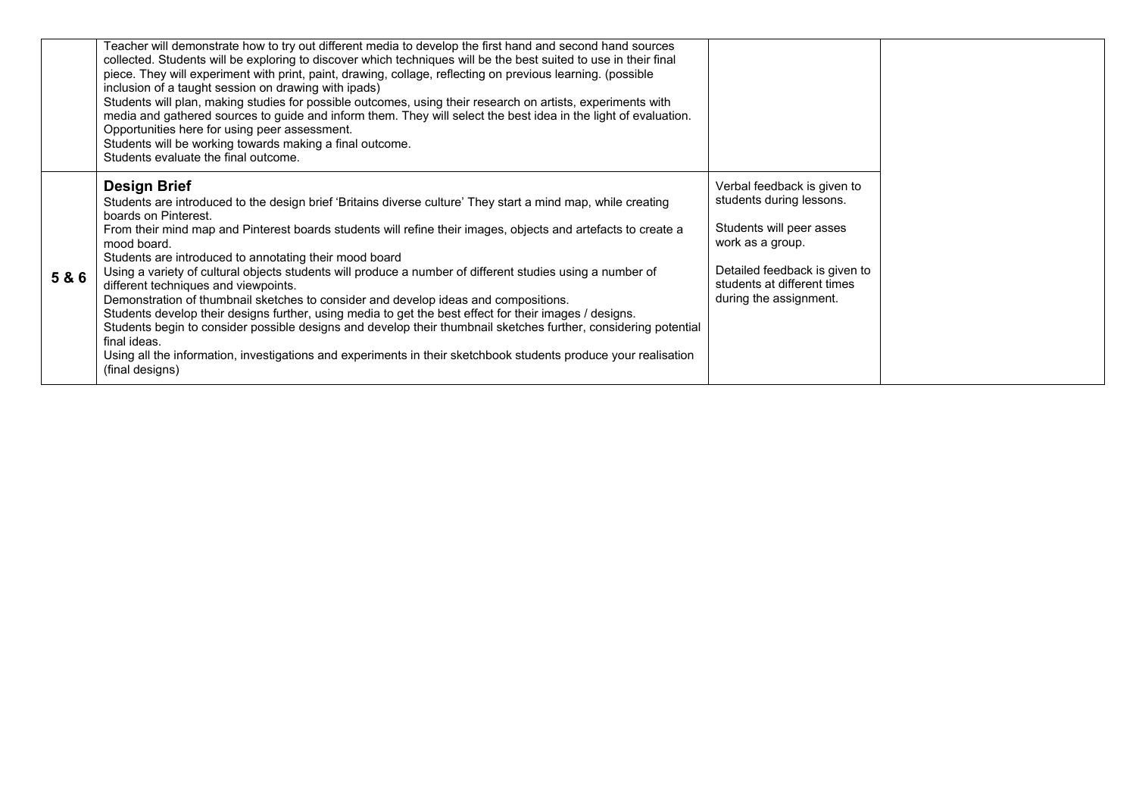|     | Teacher will demonstrate how to try out different media to develop the first hand and second hand sources<br>collected. Students will be exploring to discover which techniques will be the best suited to use in their final<br>piece. They will experiment with print, paint, drawing, collage, reflecting on previous learning. (possible<br>inclusion of a taught session on drawing with ipads)<br>Students will plan, making studies for possible outcomes, using their research on artists, experiments with<br>media and gathered sources to guide and inform them. They will select the best idea in the light of evaluation.<br>Opportunities here for using peer assessment.<br>Students will be working towards making a final outcome.<br>Students evaluate the final outcome.                                                                                                                                                                                          |                                                                                                                                                                                                   |
|-----|--------------------------------------------------------------------------------------------------------------------------------------------------------------------------------------------------------------------------------------------------------------------------------------------------------------------------------------------------------------------------------------------------------------------------------------------------------------------------------------------------------------------------------------------------------------------------------------------------------------------------------------------------------------------------------------------------------------------------------------------------------------------------------------------------------------------------------------------------------------------------------------------------------------------------------------------------------------------------------------|---------------------------------------------------------------------------------------------------------------------------------------------------------------------------------------------------|
| 5&6 | <b>Design Brief</b><br>Students are introduced to the design brief 'Britains diverse culture' They start a mind map, while creating<br>boards on Pinterest.<br>From their mind map and Pinterest boards students will refine their images, objects and artefacts to create a<br>mood board.<br>Students are introduced to annotating their mood board<br>Using a variety of cultural objects students will produce a number of different studies using a number of<br>different techniques and viewpoints.<br>Demonstration of thumbnail sketches to consider and develop ideas and compositions.<br>Students develop their designs further, using media to get the best effect for their images / designs.<br>Students begin to consider possible designs and develop their thumbnail sketches further, considering potential<br>final ideas.<br>Using all the information, investigations and experiments in their sketchbook students produce your realisation<br>(final designs) | Verbal feedback is given to<br>students during lessons.<br>Students will peer asses<br>work as a group.<br>Detailed feedback is given to<br>students at different times<br>during the assignment. |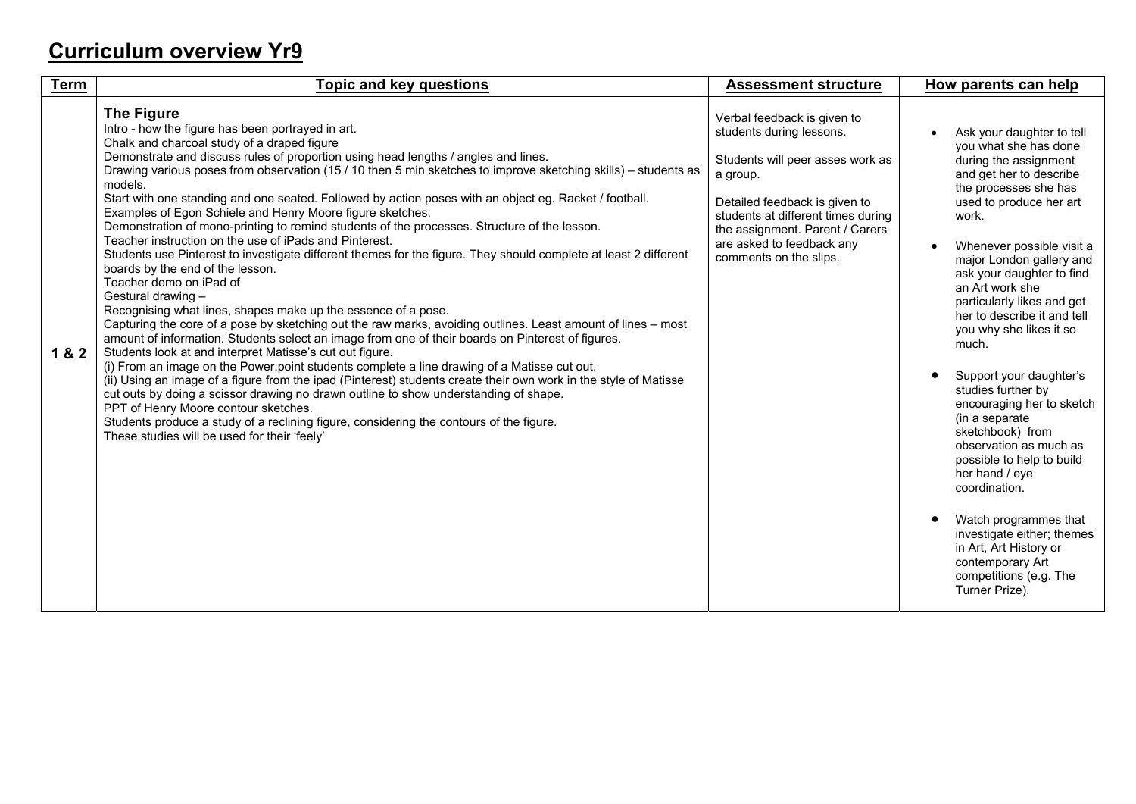## **Curriculum overview Yr9**

| <b>Term</b> | <b>Topic and key questions</b>                                                                                                                                                                                                                                                                                                                                                                                                                                                                                                                                                                                                                                                                                                                                                                                                                                                                                                                                                                                                                                                                                                                                                                                                                                                                                                                                                                                                                                                                                                                                                                                                                                                                                                     | <b>Assessment structure</b>                                                                                                                                                                                                                                              | How parents can help                                                                                                                                                                                                                                                                                                                                                                                                                                                                                                                                                                                                                                                                                                                         |
|-------------|------------------------------------------------------------------------------------------------------------------------------------------------------------------------------------------------------------------------------------------------------------------------------------------------------------------------------------------------------------------------------------------------------------------------------------------------------------------------------------------------------------------------------------------------------------------------------------------------------------------------------------------------------------------------------------------------------------------------------------------------------------------------------------------------------------------------------------------------------------------------------------------------------------------------------------------------------------------------------------------------------------------------------------------------------------------------------------------------------------------------------------------------------------------------------------------------------------------------------------------------------------------------------------------------------------------------------------------------------------------------------------------------------------------------------------------------------------------------------------------------------------------------------------------------------------------------------------------------------------------------------------------------------------------------------------------------------------------------------------|--------------------------------------------------------------------------------------------------------------------------------------------------------------------------------------------------------------------------------------------------------------------------|----------------------------------------------------------------------------------------------------------------------------------------------------------------------------------------------------------------------------------------------------------------------------------------------------------------------------------------------------------------------------------------------------------------------------------------------------------------------------------------------------------------------------------------------------------------------------------------------------------------------------------------------------------------------------------------------------------------------------------------------|
| 1&2         | <b>The Figure</b><br>Intro - how the figure has been portrayed in art.<br>Chalk and charcoal study of a draped figure<br>Demonstrate and discuss rules of proportion using head lengths / angles and lines.<br>Drawing various poses from observation (15 / 10 then 5 min sketches to improve sketching skills) – students as<br>models.<br>Start with one standing and one seated. Followed by action poses with an object eg. Racket / football.<br>Examples of Egon Schiele and Henry Moore figure sketches.<br>Demonstration of mono-printing to remind students of the processes. Structure of the lesson.<br>Teacher instruction on the use of iPads and Pinterest.<br>Students use Pinterest to investigate different themes for the figure. They should complete at least 2 different<br>boards by the end of the lesson.<br>Teacher demo on iPad of<br>Gestural drawing -<br>Recognising what lines, shapes make up the essence of a pose.<br>Capturing the core of a pose by sketching out the raw marks, avoiding outlines. Least amount of lines – most<br>amount of information. Students select an image from one of their boards on Pinterest of figures.<br>Students look at and interpret Matisse's cut out figure.<br>(i) From an image on the Power point students complete a line drawing of a Matisse cut out.<br>(ii) Using an image of a figure from the ipad (Pinterest) students create their own work in the style of Matisse<br>cut outs by doing a scissor drawing no drawn outline to show understanding of shape.<br>PPT of Henry Moore contour sketches.<br>Students produce a study of a reclining figure, considering the contours of the figure.<br>These studies will be used for their 'feely' | Verbal feedback is given to<br>students during lessons.<br>Students will peer asses work as<br>a group.<br>Detailed feedback is given to<br>students at different times during<br>the assignment. Parent / Carers<br>are asked to feedback any<br>comments on the slips. | Ask your daughter to tell<br>you what she has done<br>during the assignment<br>and get her to describe<br>the processes she has<br>used to produce her art<br>work.<br>Whenever possible visit a<br>major London gallery and<br>ask your daughter to find<br>an Art work she<br>particularly likes and get<br>her to describe it and tell<br>you why she likes it so<br>much.<br>Support your daughter's<br>studies further by<br>encouraging her to sketch<br>(in a separate<br>sketchbook) from<br>observation as much as<br>possible to help to build<br>her hand / eye<br>coordination.<br>Watch programmes that<br>investigate either; themes<br>in Art, Art History or<br>contemporary Art<br>competitions (e.g. The<br>Turner Prize). |